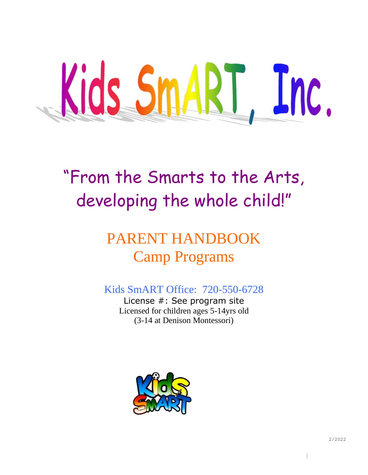

# "From the Smarts to the Arts, developing the whole child!"

# PARENT HANDBOOK Camp Programs

## Kids SmART Office: 720-550-6728

License #: See program site Licensed for children ages 5-14yrs old (3-14 at Denison Montessori)



|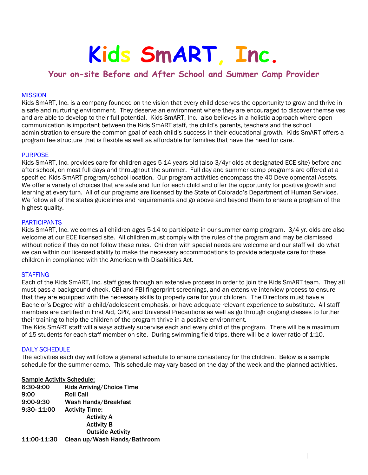# **Kids SmART, Inc.**

### **Your on-site Before and After School and Summer Camp Provider**

#### **MISSION**

Kids SmART, Inc. is a company founded on the vision that every child deserves the opportunity to grow and thrive in a safe and nurturing environment. They deserve an environment where they are encouraged to discover themselves and are able to develop to their full potential. Kids SmART, Inc. also believes in a holistic approach where open communication is important between the Kids SmART staff, the child's parents, teachers and the school administration to ensure the common goal of each child's success in their educational growth. Kids SmART offers a program fee structure that is flexible as well as affordable for families that have the need for care.

#### PURPOSE

Kids SmART, Inc. provides care for children ages 5-14 years old (also 3/4yr olds at designated ECE site) before and after school, on most full days and throughout the summer. Full day and summer camp programs are offered at a specified Kids SmART program/school location. Our program activities encompass the 40 Developmental Assets. We offer a variety of choices that are safe and fun for each child and offer the opportunity for positive growth and learning at every turn. All of our programs are licensed by the State of Colorado's Department of Human Services. We follow all of the states guidelines and requirements and go above and beyond them to ensure a program of the highest quality.

#### **PARTICIPANTS**

Kids SmART, Inc. welcomes all children ages 5-14 to participate in our summer camp program. 3/4 yr. olds are also welcome at our ECE licensed site. All children must comply with the rules of the program and may be dismissed without notice if they do not follow these rules. Children with special needs are welcome and our staff will do what we can within our licensed ability to make the necessary accommodations to provide adequate care for these children in compliance with the American with Disabilities Act.

#### **STAFFING**

Each of the Kids SmART, Inc. staff goes through an extensive process in order to join the Kids SmART team. They all must pass a background check, CBI and FBI fingerprint screenings, and an extensive interview process to ensure that they are equipped with the necessary skills to properly care for your children. The Directors must have a Bachelor's Degree with a child/adolescent emphasis, or have adequate relevant experience to substitute. All staff members are certified in First Aid, CPR, and Universal Precautions as well as go through ongoing classes to further their training to help the children of the program thrive in a positive environment.

The Kids SmART staff will always actively supervise each and every child of the program. There will be a maximum of 15 students for each staff member on site. During swimming field trips, there will be a lower ratio of 1:10.

#### DAILY SCHEDULE

The activities each day will follow a general schedule to ensure consistency for the children. Below is a sample schedule for the summer camp. This schedule may vary based on the day of the week and the planned activities.

#### Sample Activity Schedule:

| 6:30-9:00      | Kids Arriving/Choice Time    |
|----------------|------------------------------|
| 9:00           | <b>Roll Call</b>             |
| 9:00-9:30      | Wash Hands/Breakfast         |
| $9:30 - 11:00$ | <b>Activity Time:</b>        |
|                | <b>Activity A</b>            |
|                | <b>Activity B</b>            |
|                | <b>Outside Activity</b>      |
| 11:00-11:30    | Clean up/Wash Hands/Bathroom |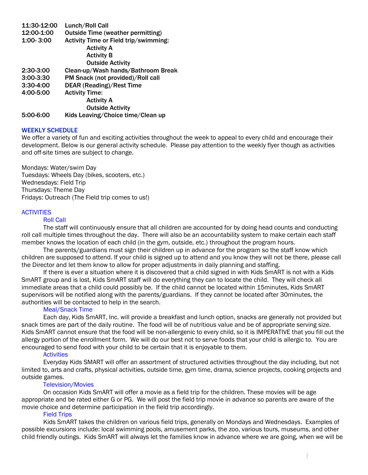| 11:30-12:00   | Lunch/Roll Call                          |
|---------------|------------------------------------------|
| 12:00-1:00    | <b>Outside Time (weather permitting)</b> |
| $1:00 - 3:00$ | Activity Time or Field trip/swimming:    |
|               | <b>Activity A</b>                        |
|               | <b>Activity B</b>                        |
|               | <b>Outside Activity</b>                  |
| $2:30-3:00$   | Clean-up/Wash hands/Bathroom Break       |
| $3:00 - 3:30$ | PM Snack (not provided)/Roll call        |
| $3:30-4:00$   | <b>DEAR (Reading)/Rest Time</b>          |
| 4:00-5:00     | <b>Activity Time:</b>                    |
|               | <b>Activity A</b>                        |
|               | <b>Outside Activity</b>                  |
| 5:00-6:00     | Kids Leaving/Choice time/Clean up        |

#### WEEKLY SCHEDULE

We offer a variety of fun and exciting activities throughout the week to appeal to every child and encourage their development. Below is our general activity schedule. Please pay attention to the weekly flyer though as activities and off-site times are subject to change.

Mondays: Water/swim Day Tuesdays: Wheels Day (bikes, scooters, etc.) Wednesdays: Field Trip Thursdays: Theme Day Fridays: Outreach (The Field trip comes to us!)

#### **ACTIVITIES**

#### Roll Call

The staff will continuously ensure that all children are accounted for by doing head counts and conducting roll call multiple times throughout the day. There will also be an accountability system to make certain each staff member knows the location of each child (in the gym, outside, etc.) throughout the program hours.

The parents/guardians must sign their children up in advance for the program so the staff know which children are supposed to attend. If your child is signed up to attend and you know they will not be there, please call the Director and let them know to allow for proper adjustments in daily planning and staffing.

If there is ever a situation where it is discovered that a child signed in with Kids SmART is not with a Kids SmART group and is lost, Kids SmART staff will do everything they can to locate the child. They will check all immediate areas that a child could possibly be. If the child cannot be located within 15minutes, Kids SmART supervisors will be notified along with the parents/guardians. If they cannot be located after 30minutes, the authorities will be contacted to help in the search.

#### Meal/Snack Time

Each day, Kids SmART, Inc. will provide a breakfast and lunch option, snacks are generally not provided but snack times are part of the daily routine. The food will be of nutritious value and be of appropriate serving size. Kids SmART cannot ensure that the food will be non-allergenic to every child, so it is IMPERATIVE that you fill out the allergy portion of the enrollment form. We will do our best not to serve foods that your child is allergic to. You are encouraged to send food with your child to be certain that it is enjoyable to them.

#### **Activities**

Everyday Kids SMART will offer an assortment of structured activities throughout the day including, but not limited to, arts and crafts, physical activities, outside time, gym time, drama, science projects, cooking projects and outside games.

#### Television/Movies

On occasion Kids SmART will offer a movie as a field trip for the children. These movies will be age appropriate and be rated either G or PG. We will post the field trip movie in advance so parents are aware of the movie choice and determine participation in the field trip accordingly.

#### Field Trips

Kids SmART takes the children on various field trips, generally on Mondays and Wednesdays. Examples of possible excursions include: local swimming pools, amusement parks, the zoo, various tours, museums, and other child friendly outings. Kids SmART will always let the families know in advance where we are going, when we will be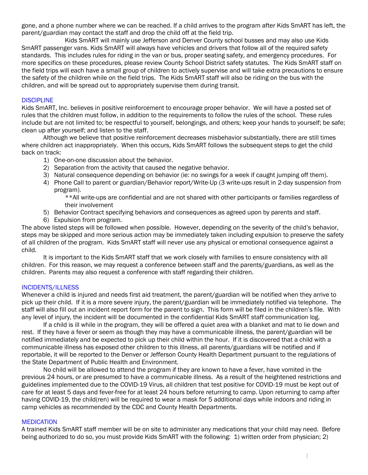gone, and a phone number where we can be reached. If a child arrives to the program after Kids SmART has left, the parent/guardian may contact the staff and drop the child off at the field trip.

Kids SmART will mainly use Jefferson and Denver County school busses and may also use Kids SmART passenger vans. Kids SmART will always have vehicles and drivers that follow all of the required safety standards. This includes rules for riding in the van or bus, proper seating safety, and emergency procedures. For more specifics on these procedures, please review County School District safety statutes. The Kids SmART staff on the field trips will each have a small group of children to actively supervise and will take extra precautions to ensure the safety of the children while on the field trips. The Kids SmART staff will also be riding on the bus with the children, and will be spread out to appropriately supervise them during transit.

#### **DISCIPLINE**

Kids SmART, Inc. believes in positive reinforcement to encourage proper behavior. We will have a posted set of rules that the children must follow, in addition to the requirements to follow the rules of the school. These rules include but are not limited to; be respectful to yourself, belongings, and others; keep your hands to yourself; be safe; clean up after yourself; and listen to the staff.

Although we believe that positive reinforcement decreases misbehavior substantially, there are still times where children act inappropriately. When this occurs, Kids SmART follows the subsequent steps to get the child back on track:

- 1) One-on-one discussion about the behavior.
- 2) Separation from the activity that caused the negative behavior.
- 3) Natural consequence depending on behavior (ie: no swings for a week if caught jumping off them).
- 4) Phone Call to parent or guardian/Behavior report/Write-Up (3 write-ups result in 2-day suspension from program).

\*\*All write-ups are confidential and are not shared with other participants or families regardless of their involvement

- 5) Behavior Contract specifying behaviors and consequences as agreed upon by parents and staff.
- 6) Expulsion from program.

The above listed steps will be followed when possible. However, depending on the severity of the child's behavior, steps may be skipped and more serious action may be immediately taken including expulsion to preserve the safety of all children of the program. Kids SmART staff will never use any physical or emotional consequence against a child.

It is important to the Kids SmART staff that we work closely with families to ensure consistency with all children. For this reason, we may request a conference between staff and the parents/guardians, as well as the children. Parents may also request a conference with staff regarding their children.

#### INCIDENTS/ILLNESS

Whenever a child is injured and needs first aid treatment, the parent/guardian will be notified when they arrive to pick up their child. If it is a more severe injury, the parent/guardian will be immediately notified via telephone. The staff will also fill out an incident report form for the parent to sign. This form will be filed in the children's file. With any level of injury, the incident will be documented in the confidential Kids SmART staff communication log.

If a child is ill while in the program, they will be offered a quiet area with a blanket and mat to lie down and rest. If they have a fever or seem as though they may have a communicable illness, the parent/guardian will be notified immediately and be expected to pick up their child within the hour. If it is discovered that a child with a communicable illness has exposed other children to this illness, all parents/guardians will be notified and if reportable, it will be reported to the Denver or Jefferson County Health Department pursuant to the regulations of the State Department of Public Health and Environment.

No child will be allowed to attend the program if they are known to have a fever, have vomited in the previous 24 hours, or are presumed to have a communicable illness. As a result of the heightened restrictions and guidelines implemented due to the COVID-19 Virus, all children that test positive for COVID-19 must be kept out of care for at least 5 days and fever-free for at least 24 hours before returning to camp. Upon returning to camp after having COVID-19, the child(ren) will be required to wear a mask for 5 additional days while indoors and riding in camp vehicles as recommended by the CDC and County Health Departments.

#### **MEDICATION**

A trained Kids SmART staff member will be on site to administer any medications that your child may need. Before being authorized to do so, you must provide Kids SmART with the following: 1) written order from physician; 2)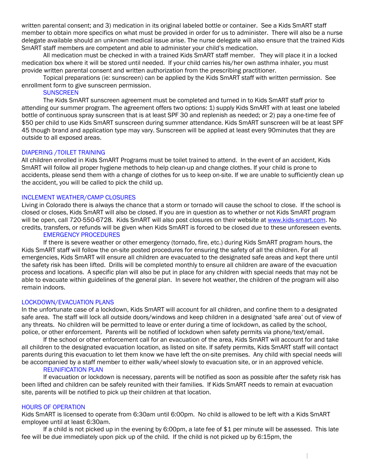written parental consent; and 3) medication in its original labeled bottle or container. See a Kids SmART staff member to obtain more specifics on what must be provided in order for us to administer. There will also be a nurse delegate available should an unknown medical issue arise. The nurse delegate will also ensure that the trained Kids SmART staff members are competent and able to administer your child's medication.

All medication must be checked in with a trained Kids SmART staff member. They will place it in a locked medication box where it will be stored until needed. If your child carries his/her own asthma inhaler, you must provide written parental consent and written authorization from the prescribing practitioner.

Topical preparations (ie: sunscreen) can be applied by the Kids SmART staff with written permission. See enrollment form to give sunscreen permission.

#### **SUNSCREEN**

The Kids SmART sunscreen agreement must be completed and turned in to Kids SmART staff prior to attending our summer program. The agreement offers two options: 1) supply Kids SmART with at least one labeled bottle of continuous spray sunscreen that is at least SPF 30 and replenish as needed; or 2) pay a one-time fee of \$50 per child to use Kids SmART sunscreen during summer attendance. Kids SmART sunscreen will be at least SPF 45 though brand and application type may vary. Sunscreen will be applied at least every 90minutes that they are outside to all exposed areas.

#### DIAPERING /TOILET TRAINING

All children enrolled in Kids SmART Programs must be toilet trained to attend. In the event of an accident, Kids SmART will follow all proper hygiene methods to help clean-up and change clothes. If your child is prone to accidents, please send them with a change of clothes for us to keep on-site. If we are unable to sufficiently clean up the accident, you will be called to pick the child up.

#### INCLEMENT WEATHER/CAMP CLOSURES

Living in Colorado there is always the chance that a storm or tornado will cause the school to close. If the school is closed or closes, Kids SmART will also be closed. If you are in question as to whether or not Kids SmART program will be open, call 720-550-6728. Kids SmART will also post closures on their website a[t www.kids-smart.com.](http://www.kids-smart.com/) No credits, transfers, or refunds will be given when Kids SmART is forced to be closed due to these unforeseen events.

#### EMERGENCY PROCEDURES

If there is severe weather or other emergency (tornado, fire, etc.) during Kids SmART program hours, the Kids SmART staff will follow the on-site posted procedures for ensuring the safety of all the children. For all emergencies, Kids SmART will ensure all children are evacuated to the designated safe areas and kept there until the safety risk has been lifted. Drills will be completed monthly to ensure all children are aware of the evacuation process and locations. A specific plan will also be put in place for any children with special needs that may not be able to evacuate within guidelines of the general plan. In severe hot weather, the children of the program will also remain indoors.

#### LOCKDOWN/EVACUATION PLANS

In the unfortunate case of a lockdown, Kids SmART will account for all children, and confine them to a designated safe area. The staff will lock all outside doors/windows and keep children in a designated 'safe area' out of view of any threats. No children will be permitted to leave or enter during a time of lockdown, as called by the school, police, or other enforcement. Parents will be notified of lockdown when safety permits via phone/text/email.

If the school or other enforcement call for an evacuation of the area, Kids SmART will account for and take all children to the designated evacuation location, as listed on site. If safety permits, Kids SmART staff will contact parents during this evacuation to let them know we have left the on-site premises. Any child with special needs will be accompanied by a staff member to either walk/wheel slowly to evacuation site, or in an approved vehicle.

#### REUNIFICATION PLAN

If evacuation or lockdown is necessary, parents will be notified as soon as possible after the safety risk has been lifted and children can be safely reunited with their families. If Kids SmART needs to remain at evacuation site, parents will be notified to pick up their children at that location.

#### HOURS OF OPERATION

Kids SmART is licensed to operate from 6:30am until 6:00pm. No child is allowed to be left with a Kids SmART employee until at least 6:30am.

If a child is not picked up in the evening by 6:00pm, a late fee of \$1 per minute will be assessed. This late fee will be due immediately upon pick up of the child. If the child is not picked up by 6:15pm, the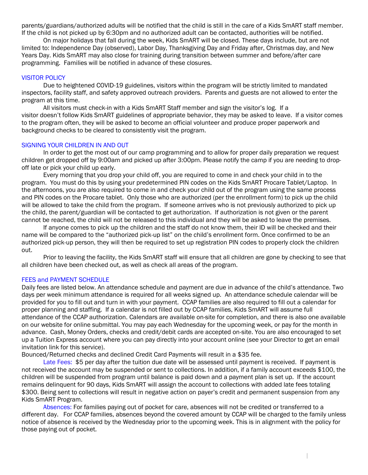parents/guardians/authorized adults will be notified that the child is still in the care of a Kids SmART staff member. If the child is not picked up by 6:30pm and no authorized adult can be contacted, authorities will be notified.

On major holidays that fall during the week, Kids SmART will be closed. These days include, but are not limited to: Independence Day (observed), Labor Day, Thanksgiving Day and Friday after, Christmas day, and New Years Day. Kids SmART may also close for training during transition between summer and before/after care programming. Families will be notified in advance of these closures.

#### VISITOR POLICY

Due to heightened COVID-19 guidelines, visitors within the program will be strictly limited to mandated inspectors, facility staff, and safety approved outreach providers. Parents and guests are not allowed to enter the program at this time.

All visitors must check-in with a Kids SmART Staff member and sign the visitor's log. If a visitor doesn't follow Kids SmART guidelines of appropriate behavior, they may be asked to leave. If a visitor comes to the program often, they will be asked to become an official volunteer and produce proper paperwork and background checks to be cleared to consistently visit the program.

#### SIGNING YOUR CHILDREN IN AND OUT

In order to get the most out of our camp programming and to allow for proper daily preparation we request children get dropped off by 9:00am and picked up after 3:00pm. Please notify the camp if you are needing to dropoff late or pick your child up early.

Every morning that you drop your child off, you are required to come in and check your child in to the program. You must do this by using your predetermined PIN codes on the Kids SmART Procare Tablet/Laptop. In the afternoons, you are also required to come in and check your child out of the program using the same process and PIN codes on the Procare tablet. Only those who are authorized (per the enrollment form) to pick up the child will be allowed to take the child from the program. If someone arrives who is not previously authorized to pick up the child, the parent/guardian will be contacted to get authorization. If authorization is not given or the parent cannot be reached, the child will not be released to this individual and they will be asked to leave the premises.

If anyone comes to pick up the children and the staff do not know them, their ID will be checked and their name will be compared to the "authorized pick-up list" on the child's enrollment form. Once confirmed to be an authorized pick-up person, they will then be required to set up registration PIN codes to properly clock the children out.

Prior to leaving the facility, the Kids SmART staff will ensure that all children are gone by checking to see that all children have been checked out, as well as check all areas of the program.

#### FEES and PAYMENT SCHEDULE

Daily fees are listed below. An attendance schedule and payment are due in advance of the child's attendance. Two days per week minimum attendance is required for all weeks signed up. An attendance schedule calendar will be provided for you to fill out and turn in with your payment. CCAP families are also required to fill out a calendar for proper planning and staffing. If a calendar is not filled out by CCAP families, Kids SmART will assume full attendance of the CCAP authorization. Calendars are available on-site for completion, and there is also one available on our website for online submittal. You may pay each Wednesday for the upcoming week, or pay for the month in advance. Cash, Money Orders, checks and credit/debit cards are accepted on-site. You are also encouraged to set up a Tuition Express account where you can pay directly into your account online (see your Director to get an email invitation link for this service).

Bounced/Returned checks and declined Credit Card Payments will result in a \$35 fee.

Late Fees: \$5 per day after the tuition due date will be assessed until payment is received. If payment is not received the account may be suspended or sent to collections. In addition, if a family account exceeds \$100, the children will be suspended from program until balance is paid down and a payment plan is set up. If the account remains delinquent for 90 days, Kids SmART will assign the account to collections with added late fees totaling \$300. Being sent to collections will result in negative action on payer's credit and permanent suspension from any Kids SmART Program.

Absences: For families paying out of pocket for care, absences will not be credited or transferred to a different day. For CCAP families, absences beyond the covered amount by CCAP will be charged to the family unless notice of absence is received by the Wednesday prior to the upcoming week. This is in alignment with the policy for those paying out of pocket.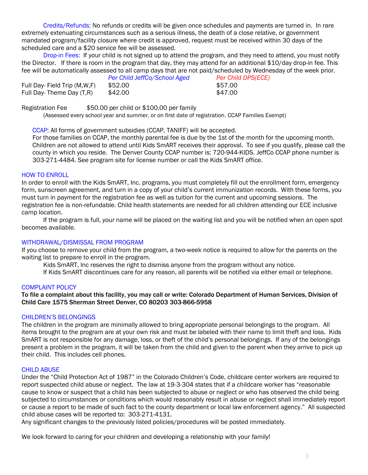Credits/Refunds: No refunds or credits will be given once schedules and payments are turned in. In rare extremely extenuating circumstances such as a serious illness, the death of a close relative, or government mandated program/facility closure where credit is approved, request must be received within 30 days of the scheduled care and a \$20 service fee will be assessed.

Drop-in Fees: If your child is not signed up to attend the program, and they need to attend, you must notify the Director. If there is room in the program that day, they may attend for an additional \$10/day drop-in fee. This fee will be automatically assessed to all camp days that are not paid/scheduled by Wednesday of the week prior.

|                                | Per Child JeffCo/School Aged | <b>Per Chil</b> |
|--------------------------------|------------------------------|-----------------|
| Full Day- Field Trip (M, W, F) | \$52.00                      | \$57.00         |
| Full Day-Theme Day (T,R)       | \$42.00                      | \$47.00         |

*Per Child JeffCo/School Aged Per Child DPS(ECE)*

Registration Fee \$50.00 per child or \$100.00 per family

(Assessed every school year and summer, or on first date of registration. CCAP Families Exempt)

CCAP: All forms of government subsidies (CCAP, TANIFF) will be accepted.

For those families on CCAP, the monthly parental fee is due by the 1st of the month for the upcoming month. Children are not allowed to attend until Kids SmART receives their approval. To see if you qualify, please call the county in which you reside. The Denver County CCAP number is: 720-944-KIDS. JeffCo CCAP phone number is 303-271-4484. See program site for license number or call the Kids SmART office.

#### HOW TO ENROLL

In order to enroll with the Kids SmART, Inc. programs, you must completely fill out the enrollment form, emergency form, sunscreen agreement, and turn in a copy of your child's current immunization records. With these forms, you must turn in payment for the registration fee as well as tuition for the current and upcoming sessions. The registration fee is non-refundable. Child health statements are needed for all children attending our ECE inclusive camp location.

If the program is full, your name will be placed on the waiting list and you will be notified when an open spot becomes available.

#### WITHDRAWAL/DISMISSAL FROM PROGRAM

If you choose to remove your child from the program, a two-week notice is required to allow for the parents on the waiting list to prepare to enroll in the program.

Kids SmART, Inc reserves the right to dismiss anyone from the program without any notice.

If Kids SmART discontinues care for any reason, all parents will be notified via either email or telephone.

#### COMPLAINT POLICY

#### To file a complaint about this facility, you may call or write: Colorado Department of Human Services, Division of Child Care 1575 Sherman Street Denver, CO 80203 303-866-5958

#### CHILDREN'S BELONGINGS

The children in the program are minimally allowed to bring appropriate personal belongings to the program. All items brought to the program are at your own risk and must be labeled with their name to limit theft and loss. Kids SmART is not responsible for any damage, loss, or theft of the child's personal belongings. If any of the belongings present a problem in the program, it will be taken from the child and given to the parent when they arrive to pick up their child. This includes cell phones.

#### CHILD ABUSE

Under the "Child Protection Act of 1987" in the Colorado Children's Code, childcare center workers are required to report suspected child abuse or neglect. The law at 19-3-304 states that if a childcare worker has "reasonable cause to know or suspect that a child has been subjected to abuse or neglect or who has observed the child being subjected to circumstances or conditions which would reasonably result in abuse or neglect shall immediately report or cause a report to be made of such fact to the county department or local law enforcement agency." All suspected child abuse cases will be reported to: 303-271-4131.

Any significant changes to the previously listed policies/procedures will be posted immediately.

We look forward to caring for your children and developing a relationship with your family!